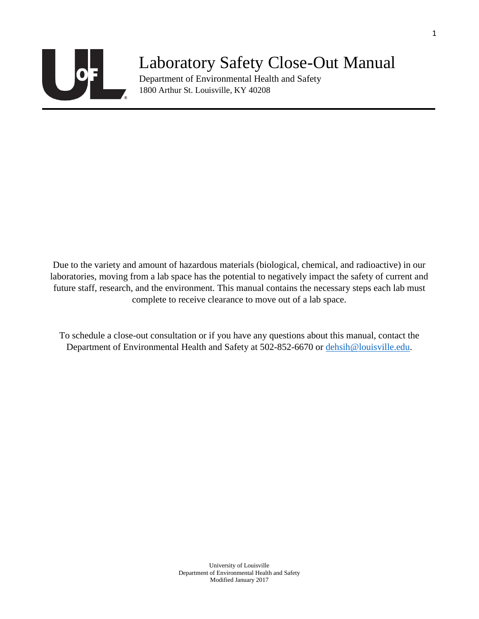

## Laboratory Safety Close-Out Manual

Department of Environmental Health and Safety 1800 Arthur St. Louisville, KY 40208

Due to the variety and amount of hazardous materials (biological, chemical, and radioactive) in our laboratories, moving from a lab space has the potential to negatively impact the safety of current and future staff, research, and the environment. This manual contains the necessary steps each lab must complete to receive clearance to move out of a lab space.

To schedule a close-out consultation or if you have any questions about this manual, contact the Department of Environmental Health and Safety at 502-852-6670 or [dehsih@louisville.edu.](mailto:dehsih@louisville.edu)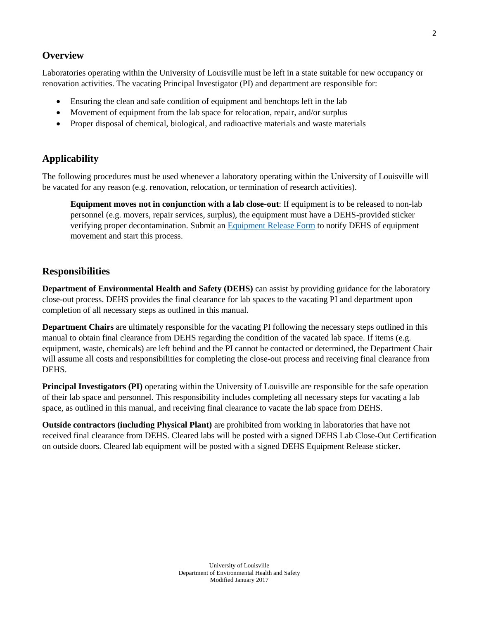#### **Overview**

Laboratories operating within the University of Louisville must be left in a state suitable for new occupancy or renovation activities. The vacating Principal Investigator (PI) and department are responsible for:

- Ensuring the clean and safe condition of equipment and benchtops left in the lab
- Movement of equipment from the lab space for relocation, repair, and/or surplus
- Proper disposal of chemical, biological, and radioactive materials and waste materials

#### **Applicability**

The following procedures must be used whenever a laboratory operating within the University of Louisville will be vacated for any reason (e.g. renovation, relocation, or termination of research activities).

**Equipment moves not in conjunction with a lab close-out**: If equipment is to be released to non-lab personnel (e.g. movers, repair services, surplus), the equipment must have a DEHS-provided sticker verifying proper decontamination. Submit an [Equipment Release Form](https://louisville.edu/dehs/occup-health-safety/laboratory-close-out-relocation-or-equipment-release-form) to notify DEHS of equipment movement and start this process.

#### **Responsibilities**

**Department of Environmental Health and Safety (DEHS)** can assist by providing guidance for the laboratory close-out process. DEHS provides the final clearance for lab spaces to the vacating PI and department upon completion of all necessary steps as outlined in this manual.

**Department Chairs** are ultimately responsible for the vacating PI following the necessary steps outlined in this manual to obtain final clearance from DEHS regarding the condition of the vacated lab space. If items (e.g. equipment, waste, chemicals) are left behind and the PI cannot be contacted or determined, the Department Chair will assume all costs and responsibilities for completing the close-out process and receiving final clearance from DEHS.

**Principal Investigators (PI)** operating within the University of Louisville are responsible for the safe operation of their lab space and personnel. This responsibility includes completing all necessary steps for vacating a lab space, as outlined in this manual, and receiving final clearance to vacate the lab space from DEHS.

**Outside contractors (including Physical Plant)** are prohibited from working in laboratories that have not received final clearance from DEHS. Cleared labs will be posted with a signed DEHS Lab Close-Out Certification on outside doors. Cleared lab equipment will be posted with a signed DEHS Equipment Release sticker.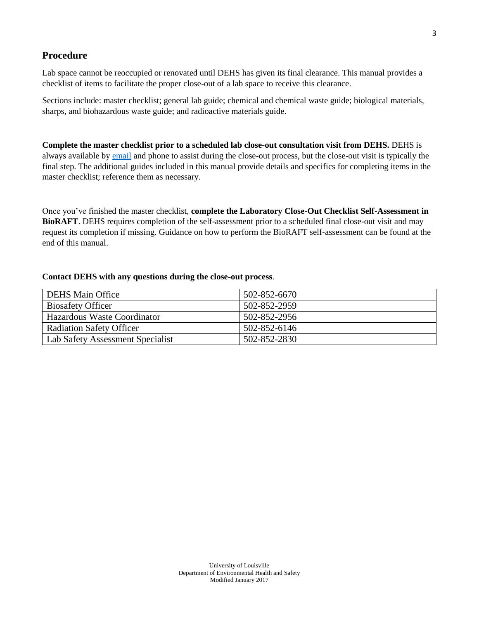#### **Procedure**

Lab space cannot be reoccupied or renovated until DEHS has given its final clearance. This manual provides a checklist of items to facilitate the proper close-out of a lab space to receive this clearance.

Sections include: master checklist; general lab guide; chemical and chemical waste guide; biological materials, sharps, and biohazardous waste guide; and radioactive materials guide.

**Complete the master checklist prior to a scheduled lab close-out consultation visit from DEHS.** DEHS is always available by [email](mailto:dehsih@louisville.edu) and phone to assist during the close-out process, but the close-out visit is typically the final step. The additional guides included in this manual provide details and specifics for completing items in the master checklist; reference them as necessary.

Once you've finished the master checklist, **complete the Laboratory Close-Out Checklist Self-Assessment in BioRAFT**. DEHS requires completion of the self-assessment prior to a scheduled final close-out visit and may request its completion if missing. Guidance on how to perform the BioRAFT self-assessment can be found at the end of this manual.

#### **Contact DEHS with any questions during the close-out process**.

| <b>DEHS Main Office</b>          | 502-852-6670 |
|----------------------------------|--------------|
| <b>Biosafety Officer</b>         | 502-852-2959 |
| Hazardous Waste Coordinator      | 502-852-2956 |
| <b>Radiation Safety Officer</b>  | 502-852-6146 |
| Lab Safety Assessment Specialist | 502-852-2830 |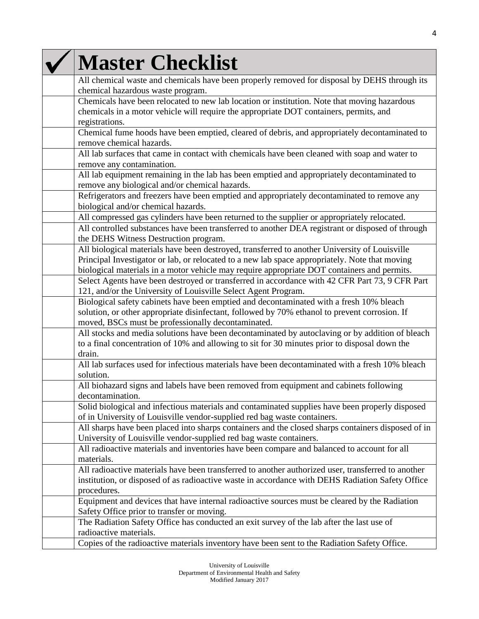| <b>Master Checklist</b>                                                                                                                                                                                                                                                                        |
|------------------------------------------------------------------------------------------------------------------------------------------------------------------------------------------------------------------------------------------------------------------------------------------------|
| All chemical waste and chemicals have been properly removed for disposal by DEHS through its<br>chemical hazardous waste program.                                                                                                                                                              |
| Chemicals have been relocated to new lab location or institution. Note that moving hazardous<br>chemicals in a motor vehicle will require the appropriate DOT containers, permits, and<br>registrations.                                                                                       |
| Chemical fume hoods have been emptied, cleared of debris, and appropriately decontaminated to<br>remove chemical hazards.                                                                                                                                                                      |
| All lab surfaces that came in contact with chemicals have been cleaned with soap and water to<br>remove any contamination.                                                                                                                                                                     |
| All lab equipment remaining in the lab has been emptied and appropriately decontaminated to<br>remove any biological and/or chemical hazards.                                                                                                                                                  |
| Refrigerators and freezers have been emptied and appropriately decontaminated to remove any<br>biological and/or chemical hazards.                                                                                                                                                             |
| All compressed gas cylinders have been returned to the supplier or appropriately relocated.                                                                                                                                                                                                    |
| All controlled substances have been transferred to another DEA registrant or disposed of through<br>the DEHS Witness Destruction program.                                                                                                                                                      |
| All biological materials have been destroyed, transferred to another University of Louisville<br>Principal Investigator or lab, or relocated to a new lab space appropriately. Note that moving<br>biological materials in a motor vehicle may require appropriate DOT containers and permits. |
| Select Agents have been destroyed or transferred in accordance with 42 CFR Part 73, 9 CFR Part<br>121, and/or the University of Louisville Select Agent Program.                                                                                                                               |
| Biological safety cabinets have been emptied and decontaminated with a fresh 10% bleach<br>solution, or other appropriate disinfectant, followed by 70% ethanol to prevent corrosion. If<br>moved, BSCs must be professionally decontaminated.                                                 |
| All stocks and media solutions have been decontaminated by autoclaving or by addition of bleach<br>to a final concentration of 10% and allowing to sit for 30 minutes prior to disposal down the<br>drain.                                                                                     |
| All lab surfaces used for infectious materials have been decontaminated with a fresh 10% bleach<br>solution.                                                                                                                                                                                   |
| All biohazard signs and labels have been removed from equipment and cabinets following<br>decontamination.                                                                                                                                                                                     |
| Solid biological and infectious materials and contaminated supplies have been properly disposed<br>of in University of Louisville vendor-supplied red bag waste containers.                                                                                                                    |
| All sharps have been placed into sharps containers and the closed sharps containers disposed of in<br>University of Louisville vendor-supplied red bag waste containers.                                                                                                                       |
| All radioactive materials and inventories have been compare and balanced to account for all<br>materials.                                                                                                                                                                                      |
| All radioactive materials have been transferred to another authorized user, transferred to another<br>institution, or disposed of as radioactive waste in accordance with DEHS Radiation Safety Office<br>procedures.                                                                          |
| Equipment and devices that have internal radioactive sources must be cleared by the Radiation<br>Safety Office prior to transfer or moving.                                                                                                                                                    |
| The Radiation Safety Office has conducted an exit survey of the lab after the last use of<br>radioactive materials.                                                                                                                                                                            |
| Copies of the radioactive materials inventory have been sent to the Radiation Safety Office.                                                                                                                                                                                                   |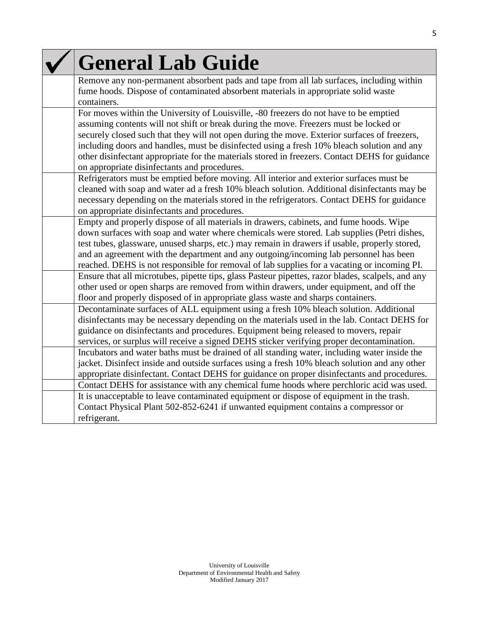| <b>General Lab Guide</b>                                                                                                                                                                                                                                                                                                                                                                                                                                                                                                       |
|--------------------------------------------------------------------------------------------------------------------------------------------------------------------------------------------------------------------------------------------------------------------------------------------------------------------------------------------------------------------------------------------------------------------------------------------------------------------------------------------------------------------------------|
| Remove any non-permanent absorbent pads and tape from all lab surfaces, including within<br>fume hoods. Dispose of contaminated absorbent materials in appropriate solid waste<br>containers.                                                                                                                                                                                                                                                                                                                                  |
| For moves within the University of Louisville, -80 freezers do not have to be emptied<br>assuming contents will not shift or break during the move. Freezers must be locked or<br>securely closed such that they will not open during the move. Exterior surfaces of freezers,<br>including doors and handles, must be disinfected using a fresh 10% bleach solution and any<br>other disinfectant appropriate for the materials stored in freezers. Contact DEHS for guidance<br>on appropriate disinfectants and procedures. |
| Refrigerators must be emptied before moving. All interior and exterior surfaces must be<br>cleaned with soap and water ad a fresh 10% bleach solution. Additional disinfectants may be<br>necessary depending on the materials stored in the refrigerators. Contact DEHS for guidance<br>on appropriate disinfectants and procedures.                                                                                                                                                                                          |
| Empty and properly dispose of all materials in drawers, cabinets, and fume hoods. Wipe<br>down surfaces with soap and water where chemicals were stored. Lab supplies (Petri dishes,<br>test tubes, glassware, unused sharps, etc.) may remain in drawers if usable, properly stored,<br>and an agreement with the department and any outgoing/incoming lab personnel has been<br>reached. DEHS is not responsible for removal of lab supplies for a vacating or incoming PI.                                                  |
| Ensure that all microtubes, pipette tips, glass Pasteur pipettes, razor blades, scalpels, and any<br>other used or open sharps are removed from within drawers, under equipment, and off the<br>floor and properly disposed of in appropriate glass waste and sharps containers.                                                                                                                                                                                                                                               |
| Decontaminate surfaces of ALL equipment using a fresh 10% bleach solution. Additional<br>disinfectants may be necessary depending on the materials used in the lab. Contact DEHS for<br>guidance on disinfectants and procedures. Equipment being released to movers, repair<br>services, or surplus will receive a signed DEHS sticker verifying proper decontamination.                                                                                                                                                      |
| Incubators and water baths must be drained of all standing water, including water inside the<br>jacket. Disinfect inside and outside surfaces using a fresh 10% bleach solution and any other<br>appropriate disinfectant. Contact DEHS for guidance on proper disinfectants and procedures.                                                                                                                                                                                                                                   |
| Contact DEHS for assistance with any chemical fume hoods where perchloric acid was used.<br>It is unacceptable to leave contaminated equipment or dispose of equipment in the trash.<br>Contact Physical Plant 502-852-6241 if unwanted equipment contains a compressor or<br>refrigerant.                                                                                                                                                                                                                                     |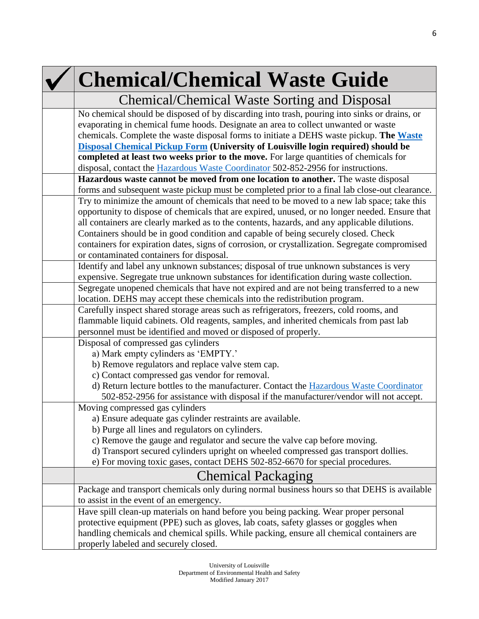# **Chemical/Chemical Waste Guide**

| Chemical/Chemical Waste Sorting and Disposal                                                   |
|------------------------------------------------------------------------------------------------|
| No chemical should be disposed of by discarding into trash, pouring into sinks or drains, or   |
| evaporating in chemical fume hoods. Designate an area to collect unwanted or waste             |
| chemicals. Complete the waste disposal forms to initiate a DEHS waste pickup. The Waste        |
| Disposal Chemical Pickup Form (University of Louisville login required) should be              |
| completed at least two weeks prior to the move. For large quantities of chemicals for          |
| disposal, contact the <b>Hazardous Waste Coordinator</b> 502-852-2956 for instructions.        |
| Hazardous waste cannot be moved from one location to another. The waste disposal               |
| forms and subsequent waste pickup must be completed prior to a final lab close-out clearance.  |
| Try to minimize the amount of chemicals that need to be moved to a new lab space; take this    |
| opportunity to dispose of chemicals that are expired, unused, or no longer needed. Ensure that |
| all containers are clearly marked as to the contents, hazards, and any applicable dilutions.   |
| Containers should be in good condition and capable of being securely closed. Check             |
| containers for expiration dates, signs of corrosion, or crystallization. Segregate compromised |
| or contaminated containers for disposal.                                                       |
| Identify and label any unknown substances; disposal of true unknown substances is very         |
| expensive. Segregate true unknown substances for identification during waste collection.       |
| Segregate unopened chemicals that have not expired and are not being transferred to a new      |
| location. DEHS may accept these chemicals into the redistribution program.                     |
| Carefully inspect shared storage areas such as refrigerators, freezers, cold rooms, and        |
| flammable liquid cabinets. Old reagents, samples, and inherited chemicals from past lab        |
| personnel must be identified and moved or disposed of properly.                                |
| Disposal of compressed gas cylinders                                                           |
| a) Mark empty cylinders as 'EMPTY.'                                                            |
| b) Remove regulators and replace valve stem cap.                                               |
| c) Contact compressed gas vendor for removal.                                                  |
| d) Return lecture bottles to the manufacturer. Contact the Hazardous Waste Coordinator         |
| 502-852-2956 for assistance with disposal if the manufacturer/vendor will not accept.          |
| Moving compressed gas cylinders                                                                |
| a) Ensure adequate gas cylinder restraints are available.                                      |
| b) Purge all lines and regulators on cylinders.                                                |
| c) Remove the gauge and regulator and secure the valve cap before moving.                      |
| d) Transport secured cylinders upright on wheeled compressed gas transport dollies.            |
| e) For moving toxic gases, contact DEHS 502-852-6670 for special procedures.                   |
| <b>Chemical Packaging</b>                                                                      |
| Package and transport chemicals only during normal business hours so that DEHS is available    |
| to assist in the event of an emergency.                                                        |
| Have spill clean-up materials on hand before you being packing. Wear proper personal           |
| protective equipment (PPE) such as gloves, lab coats, safety glasses or goggles when           |
| handling chemicals and chemical spills. While packing, ensure all chemical containers are      |
| properly labeled and securely closed.                                                          |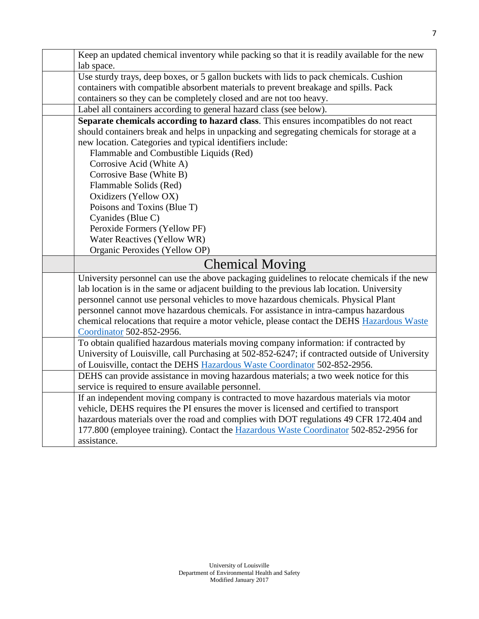| Keep an updated chemical inventory while packing so that it is readily available for the new   |
|------------------------------------------------------------------------------------------------|
| lab space.                                                                                     |
| Use sturdy trays, deep boxes, or 5 gallon buckets with lids to pack chemicals. Cushion         |
| containers with compatible absorbent materials to prevent breakage and spills. Pack            |
| containers so they can be completely closed and are not too heavy.                             |
| Label all containers according to general hazard class (see below).                            |
| Separate chemicals according to hazard class. This ensures incompatibles do not react          |
| should containers break and helps in unpacking and segregating chemicals for storage at a      |
| new location. Categories and typical identifiers include:                                      |
| Flammable and Combustible Liquids (Red)                                                        |
| Corrosive Acid (White A)                                                                       |
| Corrosive Base (White B)                                                                       |
| Flammable Solids (Red)                                                                         |
| Oxidizers (Yellow OX)                                                                          |
| Poisons and Toxins (Blue T)                                                                    |
| Cyanides (Blue C)                                                                              |
| Peroxide Formers (Yellow PF)                                                                   |
| Water Reactives (Yellow WR)                                                                    |
| Organic Peroxides (Yellow OP)                                                                  |
| <b>Chemical Moving</b>                                                                         |
| University personnel can use the above packaging guidelines to relocate chemicals if the new   |
| lab location is in the same or adjacent building to the previous lab location. University      |
| personnel cannot use personal vehicles to move hazardous chemicals. Physical Plant             |
| personnel cannot move hazardous chemicals. For assistance in intra-campus hazardous            |
| chemical relocations that require a motor vehicle, please contact the DEHS Hazardous Waste     |
| Coordinator 502-852-2956.                                                                      |
| To obtain qualified hazardous materials moving company information: if contracted by           |
| University of Louisville, call Purchasing at 502-852-6247; if contracted outside of University |
| of Louisville, contact the DEHS Hazardous Waste Coordinator 502-852-2956.                      |
|                                                                                                |

DEHS can provide assistance in moving hazardous materials; a two week notice for this service is required to ensure available personnel.

If an independent moving company is contracted to move hazardous materials via motor vehicle, DEHS requires the PI ensures the mover is licensed and certified to transport hazardous materials over the road and complies with DOT regulations 49 CFR 172.404 and 177.800 (employee training). Contact the [Hazardous Waste Coordinator](mailto:cathy.price@louisville.edu) 502-852-2956 for assistance.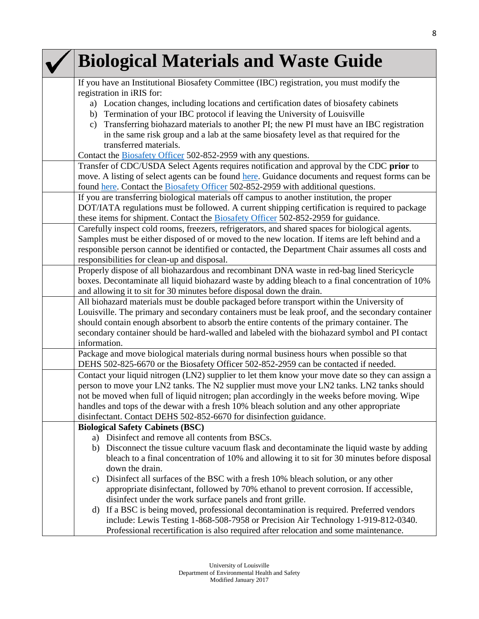| <b>Biological Materials and Waste Guide</b>                                                                                                                                                        |
|----------------------------------------------------------------------------------------------------------------------------------------------------------------------------------------------------|
| If you have an Institutional Biosafety Committee (IBC) registration, you must modify the                                                                                                           |
| registration in iRIS for:                                                                                                                                                                          |
| a) Location changes, including locations and certification dates of biosafety cabinets                                                                                                             |
| Termination of your IBC protocol if leaving the University of Louisville<br>b)                                                                                                                     |
| Transferring biohazard materials to another PI; the new PI must have an IBC registration<br>$\mathbf{c})$<br>in the same risk group and a lab at the same biosafety level as that required for the |
| transferred materials.                                                                                                                                                                             |
| Contact the <b>Biosafety Officer</b> 502-852-2959 with any questions.                                                                                                                              |
| Transfer of CDC/USDA Select Agents requires notification and approval by the CDC prior to                                                                                                          |
| move. A listing of select agents can be found here. Guidance documents and request forms can be                                                                                                    |
| found here. Contact the <b>Biosafety Officer</b> 502-852-2959 with additional questions.                                                                                                           |
| If you are transferring biological materials off campus to another institution, the proper                                                                                                         |
| DOT/IATA regulations must be followed. A current shipping certification is required to package                                                                                                     |
| these items for shipment. Contact the <b>Biosafety Officer</b> 502-852-2959 for guidance.                                                                                                          |
| Carefully inspect cold rooms, freezers, refrigerators, and shared spaces for biological agents.                                                                                                    |
| Samples must be either disposed of or moved to the new location. If items are left behind and a                                                                                                    |
| responsible person cannot be identified or contacted, the Department Chair assumes all costs and                                                                                                   |
| responsibilities for clean-up and disposal.                                                                                                                                                        |
| Properly dispose of all biohazardous and recombinant DNA waste in red-bag lined Stericycle                                                                                                         |
| boxes. Decontaminate all liquid biohazard waste by adding bleach to a final concentration of 10%                                                                                                   |
| and allowing it to sit for 30 minutes before disposal down the drain.                                                                                                                              |
| All biohazard materials must be double packaged before transport within the University of                                                                                                          |
| Louisville. The primary and secondary containers must be leak proof, and the secondary container                                                                                                   |
| should contain enough absorbent to absorb the entire contents of the primary container. The                                                                                                        |
| secondary container should be hard-walled and labeled with the biohazard symbol and PI contact<br>information.                                                                                     |
| Package and move biological materials during normal business hours when possible so that                                                                                                           |
| DEHS 502-825-6670 or the Biosafety Officer 502-852-2959 can be contacted if needed.                                                                                                                |
| Contact your liquid nitrogen (LN2) supplier to let them know your move date so they can assign a                                                                                                   |
| person to move your LN2 tanks. The N2 supplier must move your LN2 tanks. LN2 tanks should                                                                                                          |
| not be moved when full of liquid nitrogen; plan accordingly in the weeks before moving. Wipe                                                                                                       |
| handles and tops of the dewar with a fresh 10% bleach solution and any other appropriate                                                                                                           |
| disinfectant. Contact DEHS 502-852-6670 for disinfection guidance.                                                                                                                                 |
| <b>Biological Safety Cabinets (BSC)</b>                                                                                                                                                            |
| a) Disinfect and remove all contents from BSCs.                                                                                                                                                    |
| b) Disconnect the tissue culture vacuum flask and decontaminate the liquid waste by adding                                                                                                         |
| bleach to a final concentration of 10% and allowing it to sit for 30 minutes before disposal                                                                                                       |
| down the drain.                                                                                                                                                                                    |
| Disinfect all surfaces of the BSC with a fresh 10% bleach solution, or any other<br>C)                                                                                                             |
| appropriate disinfectant, followed by 70% ethanol to prevent corrosion. If accessible,                                                                                                             |
| disinfect under the work surface panels and front grille.                                                                                                                                          |
| If a BSC is being moved, professional decontamination is required. Preferred vendors<br>d)                                                                                                         |
| include: Lewis Testing 1-868-508-7958 or Precision Air Technology 1-919-812-0340.                                                                                                                  |
| Professional recertification is also required after relocation and some maintenance.                                                                                                               |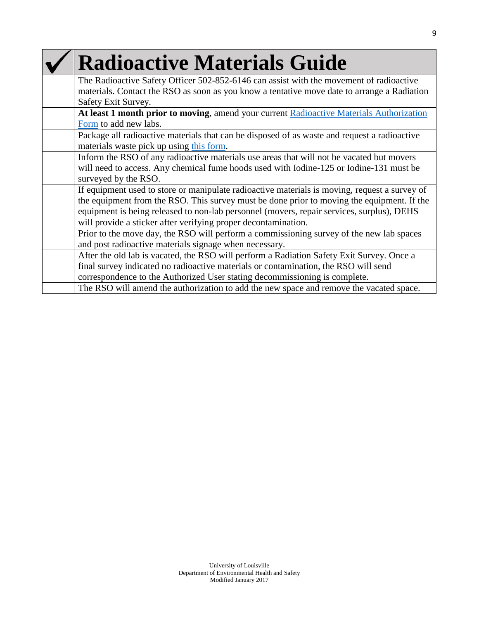| <b>Radioactive Materials Guide</b>                                                            |
|-----------------------------------------------------------------------------------------------|
| The Radioactive Safety Officer 502-852-6146 can assist with the movement of radioactive       |
| materials. Contact the RSO as soon as you know a tentative move date to arrange a Radiation   |
| Safety Exit Survey.                                                                           |
| At least 1 month prior to moving, amend your current Radioactive Materials Authorization      |
| Form to add new labs.                                                                         |
| Package all radioactive materials that can be disposed of as waste and request a radioactive  |
| materials waste pick up using this form.                                                      |
| Inform the RSO of any radioactive materials use areas that will not be vacated but movers     |
| will need to access. Any chemical fume hoods used with Iodine-125 or Iodine-131 must be       |
| surveyed by the RSO.                                                                          |
| If equipment used to store or manipulate radioactive materials is moving, request a survey of |
| the equipment from the RSO. This survey must be done prior to moving the equipment. If the    |
| equipment is being released to non-lab personnel (movers, repair services, surplus), DEHS     |
| will provide a sticker after verifying proper decontamination.                                |
| Prior to the move day, the RSO will perform a commissioning survey of the new lab spaces      |
| and post radioactive materials signage when necessary.                                        |
| After the old lab is vacated, the RSO will perform a Radiation Safety Exit Survey. Once a     |
| final survey indicated no radioactive materials or contamination, the RSO will send           |
| correspondence to the Authorized User stating decommissioning is complete.                    |
| The RSO will amend the authorization to add the new space and remove the vacated space.       |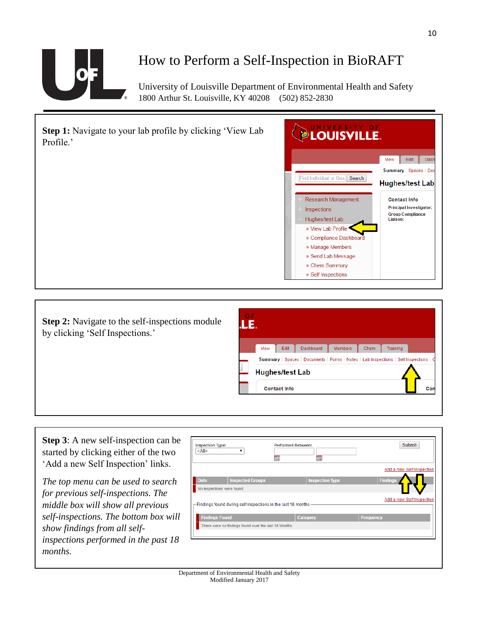

### How to Perform a Self-Inspection in BioRAFT

University of Louisville Department of Environmental Health and Safety 1800 Arthur St. Louisville, KY 40208 (502) 852-2830



**Step 2:** Navigate to the self-inspections module by clicking 'Self Inspections.'



**Step 3**: A new self-inspection can be started by clicking either of the two 'Add a new Self Inspection' links.

*The top menu can be used to search for previous self-inspections. The middle box will show all previous self-inspections. The bottom box will show findings from all selfinspections performed in the past 18 months.*

| <all></all>           | 噩                                                               | 噩                      |                           |
|-----------------------|-----------------------------------------------------------------|------------------------|---------------------------|
|                       |                                                                 |                        | Add a new Self Inspection |
| <b>Date</b>           | <b>Inspected Groups</b>                                         | <b>Inspection Type</b> | <b>Findings</b>           |
|                       | No inspections were found.                                      |                        |                           |
|                       | - Findings found during self inspections in the last 18 months- |                        | Add a new Self Inspection |
| <b>Findings Found</b> |                                                                 | Category               | <b>Frequency</b>          |
|                       | There were no findings found over the last 18 Months            |                        |                           |